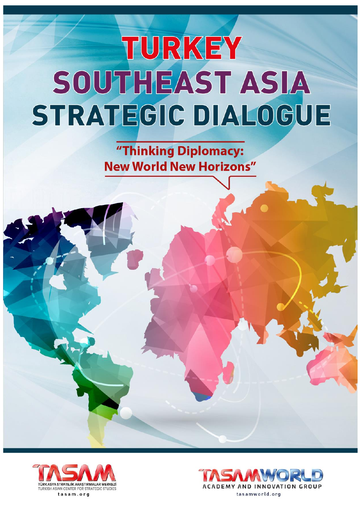"Thinking Diplomacy: **New World New Horizons"** 



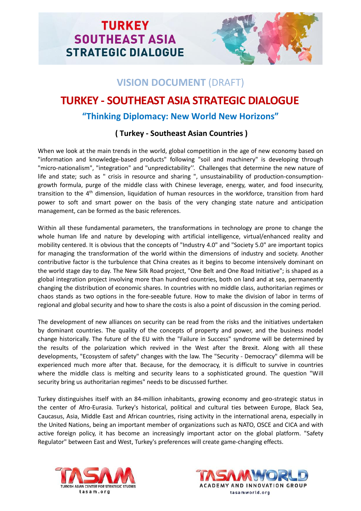

## **VISION DOCUMENT** (DRAFT)

## **TURKEY - SOUTHEAST ASIA STRATEGIC DIALOGUE**

## **"Thinking Diplomacy: New World New Horizons"**

### **( Turkey - Southeast Asian Countries )**

When we look at the main trends in the world, global competition in the age of new economy based on "information and knowledge-based products" following "soil and machinery" is developing through "micro-nationalism", "integration" and "unpredictability''. Challenges that determine the new nature of life and state; such as " crisis in resource and sharing ", unsustainability of production-consumptiongrowth formula, purge of the middle class with Chinese leverage, energy, water, and food insecurity, transition to the 4<sup>th</sup> dimension, liquidation of human resources in the workforce, transition from hard power to soft and smart power on the basis of the very changing state nature and anticipation management, can be formed as the basic references.

Within all these fundamental parameters, the transformations in technology are prone to change the whole human life and nature by developing with artificial intelligence, virtual/enhanced reality and mobility centered. It is obvious that the concepts of "Industry 4.0" and "Society 5.0" are important topics for managing the transformation of the world within the dimensions of industry and society. Another contributive factor is the turbulence that China creates as it begins to become intensively dominant on the world stage day to day. The New Silk Road project, "One Belt and One Road Initiative"; is shaped as a global integration project involving more than hundred countries, both on land and at sea, permanently changing the distribution of economic shares. In countries with no middle class, authoritarian regimes or chaos stands as two options in the fore-seeable future. How to make the division of labor in terms of regional and global security and how to share the costs is also a point of discussion in the coming period.

The development of new alliances on security can be read from the risks and the initiatives undertaken by dominant countries. The quality of the concepts of property and power, and the business model change historically. The future of the EU with the "Failure in Success" syndrome will be determined by the results of the polarization which revived in the West after the Brexit. Along with all these developments, "Ecosystem of safety" changes with the law. The "Security - Democracy" dilemma will be experienced much more after that. Because, for the democracy, it is difficult to survive in countries where the middle class is melting and security leans to a sophisticated ground. The question "Will security bring us authoritarian regimes" needs to be discussed further.

Turkey distinguishes itself with an 84-million inhabitants, growing economy and geo-strategic status in the center of Afro-Eurasia. Turkey's historical, political and cultural ties between Europe, Black Sea, Caucasus, Asia, Middle East and African countries, rising activity in the international arena, especially in the United Nations, being an important member of organizations such as NATO, OSCE and CICA and with active foreign policy, it has become an increasingly important actor on the global platform. "Safety Regulator" between East and West, Turkey's preferences will create game-changing effects.



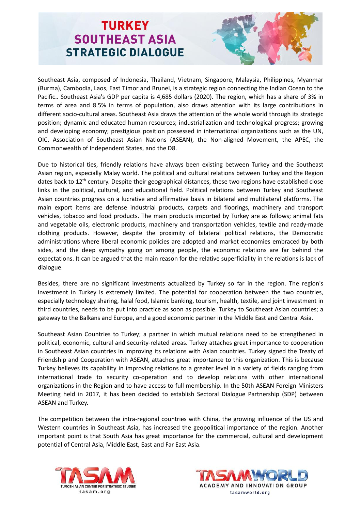

Southeast Asia, composed of Indonesia, Thailand, Vietnam, Singapore, Malaysia, Philippines, Myanmar (Burma), Cambodia, Laos, East Timor and Brunei, is a strategic region connecting the Indian Ocean to the Pacific.. Southeast Asia's GDP per capita is 4,685 dollars (2020). The region, which has a share of 3% in terms of area and 8.5% in terms of population, also draws attention with its large contributions in different socio-cultural areas. Southeast Asia draws the attention of the whole world through its strategic position; dynamic and educated human resources; industrialization and technological progress; growing and developing economy; prestigious position possessed in international organizations such as the UN, OIC, Association of Southeast Asian Nations (ASEAN), the Non-aligned Movement, the APEC, the Commonwealth of Independent States, and the D8.

Due to historical ties, friendly relations have always been existing between Turkey and the Southeast Asian region, especially Malay world. The political and cultural relations between Turkey and the Region dates back to 12<sup>th</sup> century. Despite their geographical distances, these two regions have established close links in the political, cultural, and educational field. Political relations between Turkey and Southeast Asian countries progress on a lucrative and affirmative basis in bilateral and multilateral platforms. The main export items are defense industrial products, carpets and floorings, machinery and transport vehicles, tobacco and food products. The main products imported by Turkey are as follows; animal fats and vegetable oils, electronic products, machinery and transportation vehicles, textile and ready-made clothing products. However, despite the proximity of bilateral political relations, the Democratic administrations where liberal economic policies are adopted and market economies embraced by both sides, and the deep sympathy going on among people, the economic relations are far behind the expectations. It can be argued that the main reason for the relative superficiality in the relations is lack of dialogue.

Besides, there are no significant investments actualized by Turkey so far in the region. The region's investment in Turkey is extremely limited. The potential for cooperation between the two countries, especially technology sharing, halal food, Islamic banking, tourism, health, textile, and joint investment in third countries, needs to be put into practice as soon as possible. Turkey to Southeast Asian countries; a gateway to the Balkans and Europe, and a good economic partner in the Middle East and Central Asia.

Southeast Asian Countries to Turkey; a partner in which mutual relations need to be strengthened in political, economic, cultural and security-related areas. Turkey attaches great importance to cooperation in Southeast Asian countries in improving its relations with Asian countries. Turkey signed the Treaty of Friendship and Cooperation with ASEAN, attaches great importance to this organization. This is because Turkey believes its capability in improving relations to a greater level in a variety of fields ranging from international trade to security co-operation and to develop relations with other international organizations in the Region and to have access to full membership. In the 50th ASEAN Foreign Ministers Meeting held in 2017, it has been decided to establish Sectoral Dialogue Partnership (SDP) between ASEAN and Turkey.

The competition between the intra-regional countries with China, the growing influence of the US and Western countries in Southeast Asia, has increased the geopolitical importance of the region. Another important point is that South Asia has great importance for the commercial, cultural and development potential of Central Asia, Middle East, East and Far East Asia.



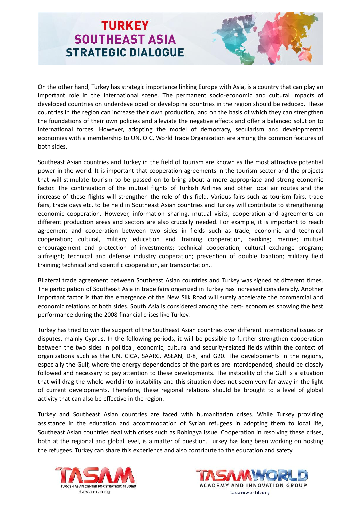

On the other hand, Turkey has strategic importance linking Europe with Asia, is a country that can play an important role in the international scene. The permanent socio-economic and cultural impacts of developed countries on underdeveloped or developing countries in the region should be reduced. These countries in the region can increase their own production, and on the basis of which they can strengthen the foundations of their own policies and alleviate the negative effects and offer a balanced solution to international forces. However, adopting the model of democracy, secularism and developmental economies with a membership to UN, OIC, World Trade Organization are among the common features of both sides.

Southeast Asian countries and Turkey in the field of tourism are known as the most attractive potential power in the world. It is important that cooperation agreements in the tourism sector and the projects that will stimulate tourism to be passed on to bring about a more appropriate and strong economic factor. The continuation of the mutual flights of Turkish Airlines and other local air routes and the increase of these flights will strengthen the role of this field. Various fairs such as tourism fairs, trade fairs, trade days etc. to be held in Southeast Asian countries and Turkey will contribute to strengthening economic cooperation. However, information sharing, mutual visits, cooperation and agreements on different production areas and sectors are also crucially needed. For example, it is important to reach agreement and cooperation between two sides in fields such as trade, economic and technical cooperation; cultural, military education and training cooperation, banking; marine; mutual encouragement and protection of investments; technical cooperation; cultural exchange program; airfreight; technical and defense industry cooperation; prevention of double taxation; military field training; technical and scientific cooperation, air transportation..

Bilateral trade agreement between Southeast Asian countries and Turkey was signed at different times. The participation of Southeast Asia in trade fairs organized in Turkey has increased considerably. Another important factor is that the emergence of the New Silk Road will surely accelerate the commercial and economic relations of both sides. South Asia is considered among the best- economies showing the best performance during the 2008 financial crises like Turkey.

Turkey has tried to win the support of the Southeast Asian countries over different international issues or disputes, mainly Cyprus. In the following periods, it will be possible to further strengthen cooperation between the two sides in political, economic, cultural and security-related fields within the context of organizations such as the UN, CICA, SAARC, ASEAN, D-8, and G20. The developments in the regions, especially the Gulf, where the energy dependencies of the parties are interdepended, should be closely followed and necessary to pay attention to these developments. The instability of the Gulf is a situation that will drag the whole world into instability and this situation does not seem very far away in the light of current developments. Therefore, these regional relations should be brought to a level of global activity that can also be effective in the region.

Turkey and Southeast Asian countries are faced with humanitarian crises. While Turkey providing assistance in the education and accommodation of Syrian refugees in adopting them to local life, Southeast Asian countries deal with crises such as Rohingya issue. Cooperation in resolving these crises, both at the regional and global level, is a matter of question. Turkey has long been working on hosting the refugees. Turkey can share this experience and also contribute to the education and safety.



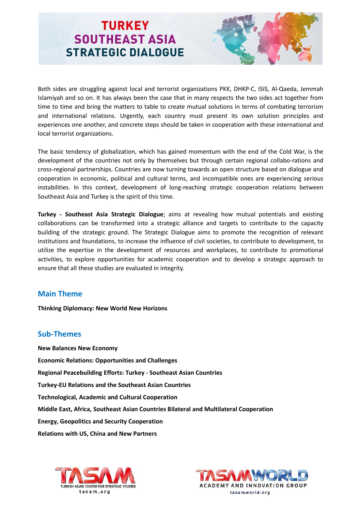

Both sides are struggling against local and terrorist organizations PKK, DHKP-C, ISIS, Al-Qaeda, Jemmah Islamiyah and so on. It has always been the case that in many respects the two sides act together from time to time and bring the matters to table to create mutual solutions in terms of combating terrorism and international relations. Urgently, each country must present its own solution principles and experiences one another, and concrete steps should be taken in cooperation with these international and local terrorist organizations.

The basic tendency of globalization, which has gained momentum with the end of the Cold War, is the development of the countries not only by themselves but through certain regional collabo-rations and cross-regional partnerships. Countries are now turning towards an open structure based on dialogue and cooperation in economic, political and cultural terms, and incompatible ones are experiencing serious instabilities. In this context, development of long-reaching strategic cooperation relations between Southeast Asia and Turkey is the spirit of this time.

**Turkey - Southeast Asia Strategic Dialogue**; aims at revealing how mutual potentials and existing collaborations can be transformed into a strategic alliance and targets to contribute to the capacity building of the strategic ground. The Strategic Dialogue aims to promote the recognition of relevant institutions and foundations, to increase the influence of civil societies, to contribute to development, to utilize the expertise in the development of resources and workplaces, to contribute to promotional activities, to explore opportunities for academic cooperation and to develop a strategic approach to ensure that all these studies are evaluated in integrity.

#### **Main Theme**

**Thinking Diplomacy: New World New Horizons**

#### **Sub-Themes**

**New Balances New Economy Economic Relations: Opportunities and Challenges Regional Peacebuilding Efforts: Turkey - Southeast Asian Countries Turkey-EU Relations and the Southeast Asian Countries Technological, Academic and Cultural Cooperation Middle East, Africa, Southeast Asian Countries Bilateral and Multilateral Cooperation Energy, Geopolitics and Security Cooperation Relations with US, China and New Partners**



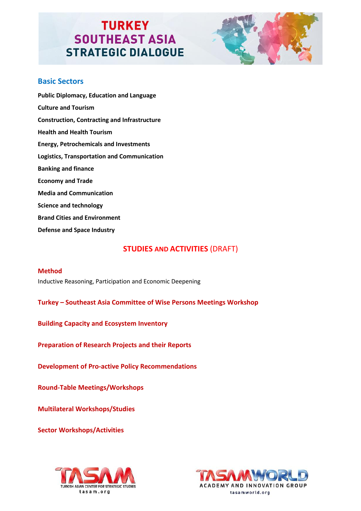

#### **Basic Sectors**

**Public Diplomacy, Education and Language Culture and Tourism Construction, Contracting and Infrastructure Health and Health Tourism Energy, Petrochemicals and Investments Logistics, Transportation and Communication Banking and finance Economy and Trade Media and Communication Science and technology Brand Cities and Environment Defense and Space Industry**

#### **STUDIES AND ACTIVITIES** (DRAFT)

#### **Method**

Inductive Reasoning, Participation and Economic Deepening

**Turkey – Southeast Asia Committee of Wise Persons Meetings Workshop**

**Building Capacity and Ecosystem Inventory**

**Preparation of Research Projects and their Reports**

**Development of Pro-active Policy Recommendations**

**Round-Table Meetings/Workshops**

**Multilateral Workshops/Studies**

**Sector Workshops/Activities**